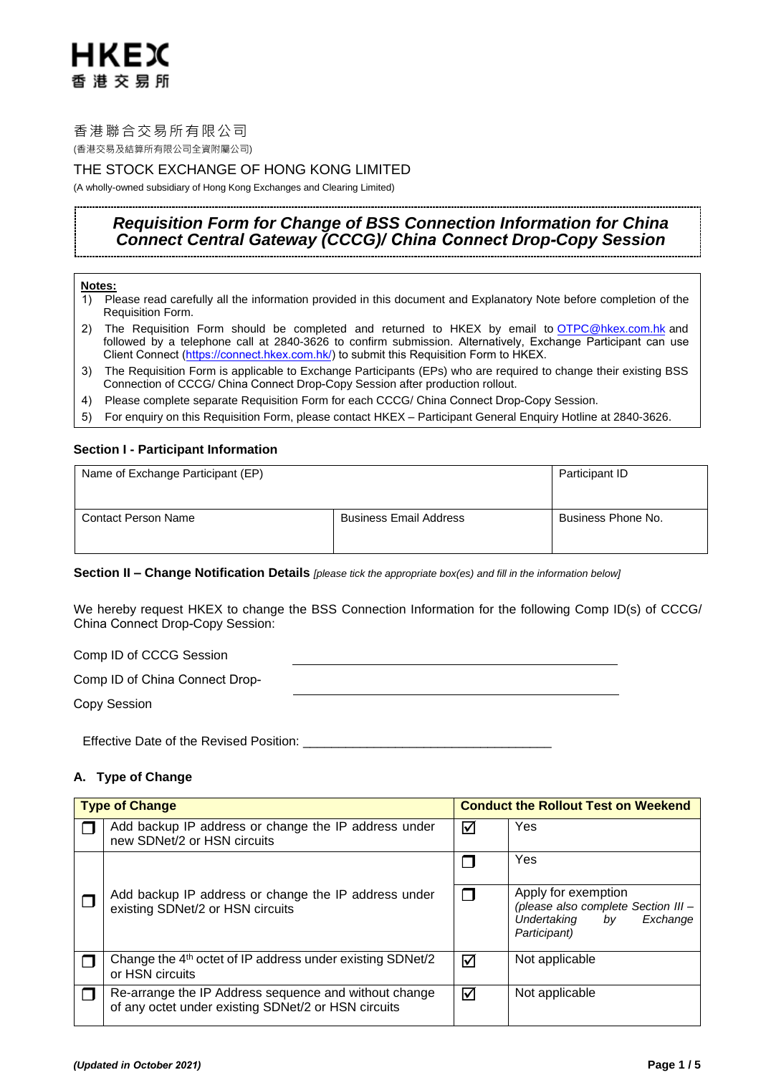# HKEX 香港交易所

# 香港聯合交易所有限公司

(香港交易及結算所有限公司全資附屬公司)

# THE STOCK EXCHANGE OF HONG KONG LIMITED

(A wholly-owned subsidiary of Hong Kong Exchanges and Clearing Limited)

# *Requisition Form for Change of BSS Connection Information for China Connect Central Gateway (CCCG)/ China Connect Drop-Copy Session*

## **Notes:**

- 1) Please read carefully all the information provided in this document and Explanatory Note before completion of the Requisition Form.
- 2) The Requisition Form should be completed and returned to HKEX by email to [OTPC@hkex.com.hk](mailto:OTPC@hkex.com.hk) and followed by a telephone call at 2840-3626 to confirm submission. Alternatively, Exchange Participant can use Client Connect ([https://connect.hkex.com.hk/\)](https://connect.hkex.com.hk/) to submit this Requisition Form to HKEX.
- 3) The Requisition Form is applicable to Exchange Participants (EPs) who are required to change their existing BSS Connection of CCCG/ China Connect Drop-Copy Session after production rollout.
- 4) Please complete separate Requisition Form for each CCCG/ China Connect Drop-Copy Session.
- 5) For enquiry on this Requisition Form, please contact HKEX Participant General Enquiry Hotline at 2840-3626.

# **Section I - Participant Information**

| Name of Exchange Participant (EP) | Participant ID                |                    |
|-----------------------------------|-------------------------------|--------------------|
| <b>Contact Person Name</b>        | <b>Business Email Address</b> | Business Phone No. |

# **Section II – Change Notification Details** *[please tick the appropriate box(es) and fill in the information below]*

We hereby request HKEX to change the BSS Connection Information for the following Comp ID(s) of CCCG/ China Connect Drop-Copy Session:

Comp ID of CCCG Session

| Comp ID of China Connect Drop- |  |
|--------------------------------|--|
| Copy Session                   |  |

Effective Date of the Revised Position:

# **A. Type of Change**

|  | <b>Type of Change</b>                                                                                        |   | <b>Conduct the Rollout Test on Weekend</b>                                                                  |  |  |
|--|--------------------------------------------------------------------------------------------------------------|---|-------------------------------------------------------------------------------------------------------------|--|--|
|  | Add backup IP address or change the IP address under<br>new SDNet/2 or HSN circuits                          | ☑ | Yes                                                                                                         |  |  |
|  |                                                                                                              |   | Yes                                                                                                         |  |  |
|  | Add backup IP address or change the IP address under<br>existing SDNet/2 or HSN circuits                     |   | Apply for exemption<br>(please also complete Section III -<br>Undertaking<br>bv<br>Exchange<br>Participant) |  |  |
|  | Change the 4 <sup>th</sup> octet of IP address under existing SDNet/2<br>or HSN circuits                     | ☑ | Not applicable                                                                                              |  |  |
|  | Re-arrange the IP Address sequence and without change<br>of any octet under existing SDNet/2 or HSN circuits | ⊠ | Not applicable                                                                                              |  |  |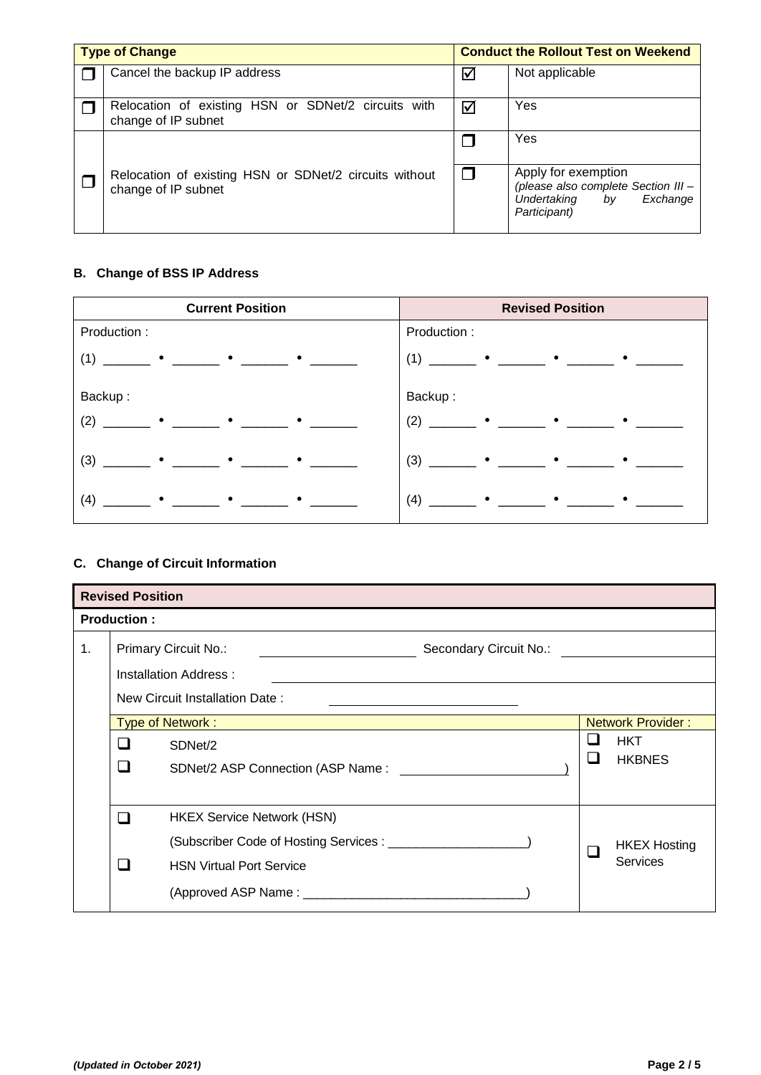| <b>Type of Change</b> |                                                                               |                      | <b>Conduct the Rollout Test on Weekend</b>                                                                  |  |  |
|-----------------------|-------------------------------------------------------------------------------|----------------------|-------------------------------------------------------------------------------------------------------------|--|--|
|                       | Cancel the backup IP address                                                  | $\blacktriangledown$ | Not applicable                                                                                              |  |  |
|                       | Relocation of existing HSN or SDNet/2 circuits with<br>change of IP subnet    | ☑                    | Yes                                                                                                         |  |  |
|                       |                                                                               |                      | Yes                                                                                                         |  |  |
|                       | Relocation of existing HSN or SDNet/2 circuits without<br>change of IP subnet |                      | Apply for exemption<br>(please also complete Section III -<br>Undertaking<br>Exchange<br>bv<br>Participant) |  |  |

# **B. Change of BSS IP Address**

| <b>Current Position</b>                                                                                             | <b>Revised Position</b>                                                                                      |
|---------------------------------------------------------------------------------------------------------------------|--------------------------------------------------------------------------------------------------------------|
| Production:                                                                                                         | Production:                                                                                                  |
| $(1)$ $\longrightarrow$ $\bullet$ $\longrightarrow$ $\bullet$ $\longrightarrow$ $\bullet$ $\longrightarrow$         | $(1)$ $\longrightarrow$ $\bullet$ $\longrightarrow$ $\bullet$ $\longrightarrow$ $\bullet$ $\longrightarrow$  |
| Backup:                                                                                                             | Backup:                                                                                                      |
| $(2)$ $\longrightarrow$ $\bullet$ $\longrightarrow$ $\bullet$ $\longrightarrow$ $\bullet$ $\longrightarrow$         | $(2)$ $\longrightarrow$ $\bullet$ $\longrightarrow$ $\bullet$ $\longrightarrow$ $\bullet$ $\longrightarrow$  |
| $(3)$ $\qquad \qquad$ $\bullet$ $\qquad \qquad$ $\bullet$ $\qquad \qquad$ $\bullet$ $\qquad \qquad$ $\qquad \qquad$ | $(3)$ $\qquad \qquad$ $\bullet$ $\qquad \qquad$ $\bullet$ $\qquad \qquad$ $\bullet$ $\qquad \qquad$ $\qquad$ |
|                                                                                                                     | $(4)$ _______ $\bullet$ ______ $\bullet$ ______ $\bullet$ ______                                             |

# **C. Change of Circuit Information**

|                | <b>Revised Position</b>                               |                                   |  |            |                          |  |  |
|----------------|-------------------------------------------------------|-----------------------------------|--|------------|--------------------------|--|--|
|                | <b>Production:</b>                                    |                                   |  |            |                          |  |  |
| $\mathbf{1}$ . | <b>Primary Circuit No.:</b><br>Secondary Circuit No.: |                                   |  |            |                          |  |  |
|                |                                                       | Installation Address:             |  |            |                          |  |  |
|                |                                                       | New Circuit Installation Date:    |  |            |                          |  |  |
|                | Type of Network:                                      |                                   |  |            | <b>Network Provider:</b> |  |  |
|                | ❏<br>SDNet/2                                          |                                   |  | <b>HKT</b> |                          |  |  |
|                | ❏                                                     | SDNet/2 ASP Connection (ASP Name: |  | ❏          | <b>HKBNES</b>            |  |  |
|                |                                                       |                                   |  |            |                          |  |  |
|                | ◻                                                     | <b>HKEX Service Network (HSN)</b> |  |            |                          |  |  |
|                |                                                       |                                   |  | П          | <b>HKEX Hosting</b>      |  |  |
|                | □                                                     | <b>HSN Virtual Port Service</b>   |  |            | <b>Services</b>          |  |  |
|                |                                                       |                                   |  |            |                          |  |  |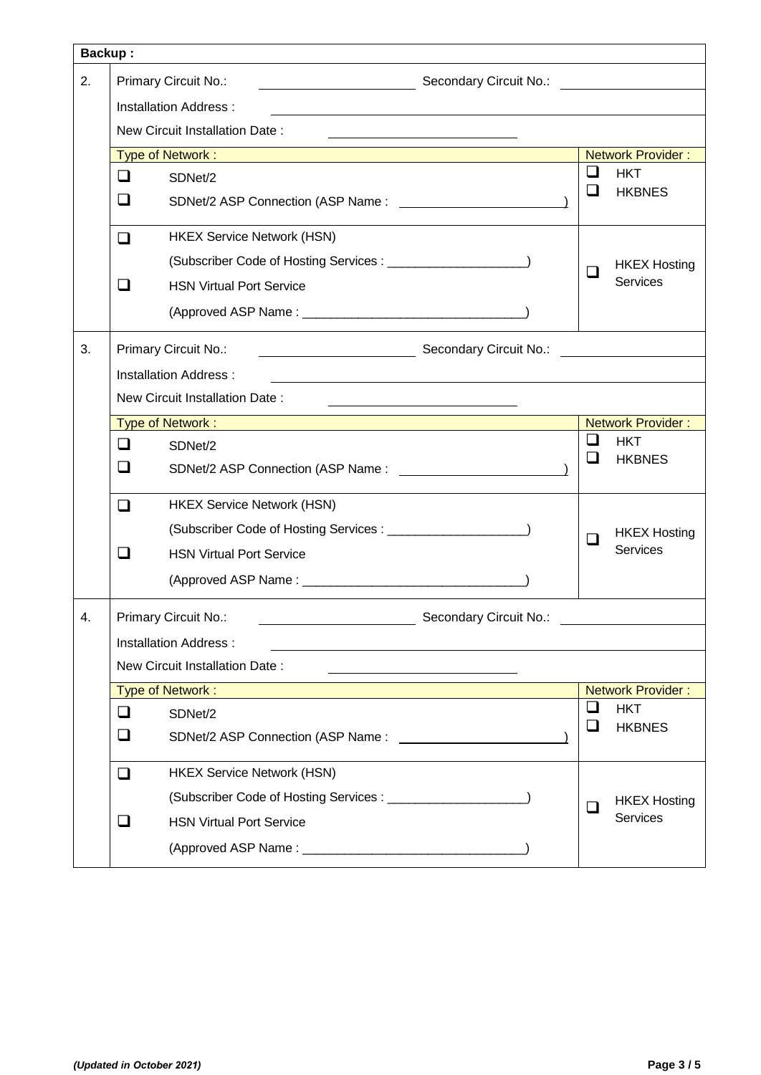| <b>Backup:</b> |                                |                                                                                                                      |                                                                               |            |                          |
|----------------|--------------------------------|----------------------------------------------------------------------------------------------------------------------|-------------------------------------------------------------------------------|------------|--------------------------|
| 2.             | Primary Circuit No.:           |                                                                                                                      | Secondary Circuit No.: <b>William Street Condition</b> Secondary Circuit No.: |            |                          |
|                | Installation Address:          |                                                                                                                      |                                                                               |            |                          |
|                | New Circuit Installation Date: |                                                                                                                      |                                                                               |            |                          |
|                |                                | <b>Type of Network : All the Contract Contract Contract Contract Contract Contract Contract Contract Contract Co</b> |                                                                               |            | <b>Network Provider:</b> |
|                | $\Box$                         | SDNet/2                                                                                                              |                                                                               | ப          | <b>HKT</b>               |
|                | $\Box$                         |                                                                                                                      |                                                                               | ப          | <b>HKBNES</b>            |
|                | ❏                              | <b>HKEX Service Network (HSN)</b>                                                                                    |                                                                               |            |                          |
|                |                                |                                                                                                                      |                                                                               | ப          | <b>HKEX Hosting</b>      |
|                | □                              | <b>HSN Virtual Port Service</b>                                                                                      |                                                                               |            | <b>Services</b>          |
|                |                                |                                                                                                                      |                                                                               |            |                          |
| 3.             |                                | Primary Circuit No.:<br>Secondary Circuit No.: No.: 2008. 2014. [1] Secondary Circuit No.:                           |                                                                               |            |                          |
|                |                                | <b>Installation Address:</b>                                                                                         |                                                                               |            |                          |
|                |                                | New Circuit Installation Date:                                                                                       |                                                                               |            |                          |
|                | Type of Network:               |                                                                                                                      |                                                                               |            | <b>Network Provider:</b> |
|                | $\Box$<br>SDNet/2              |                                                                                                                      | ப                                                                             | <b>HKT</b> |                          |
|                | ப                              |                                                                                                                      |                                                                               | ப          | <b>HKBNES</b>            |
|                | ◻                              | <b>HKEX Service Network (HSN)</b>                                                                                    |                                                                               |            |                          |
|                |                                |                                                                                                                      |                                                                               | ப          | <b>HKEX Hosting</b>      |
|                | □                              | <b>HSN Virtual Port Service</b>                                                                                      |                                                                               |            | Services                 |
|                |                                |                                                                                                                      |                                                                               |            |                          |
| 4.             |                                | Primary Circuit No.:                                                                                                 | Secondary Circuit No.:                                                        |            |                          |
|                |                                | <b>Installation Address:</b>                                                                                         |                                                                               |            |                          |
|                |                                | New Circuit Installation Date:                                                                                       |                                                                               |            |                          |
|                |                                | Type of Network:                                                                                                     |                                                                               |            | <b>Network Provider:</b> |
|                | ❏                              | SDNet/2                                                                                                              |                                                                               | $\Box$     | <b>HKT</b>               |
|                | ❏                              | SDNet/2 ASP Connection (ASP Name:                                                                                    |                                                                               | ப          | <b>HKBNES</b>            |
|                | ❏                              | <b>HKEX Service Network (HSN)</b>                                                                                    |                                                                               |            |                          |
|                |                                |                                                                                                                      |                                                                               | $\Box$     | <b>HKEX Hosting</b>      |
|                | ⊔                              | <b>HSN Virtual Port Service</b>                                                                                      |                                                                               |            | Services                 |
|                |                                |                                                                                                                      |                                                                               |            |                          |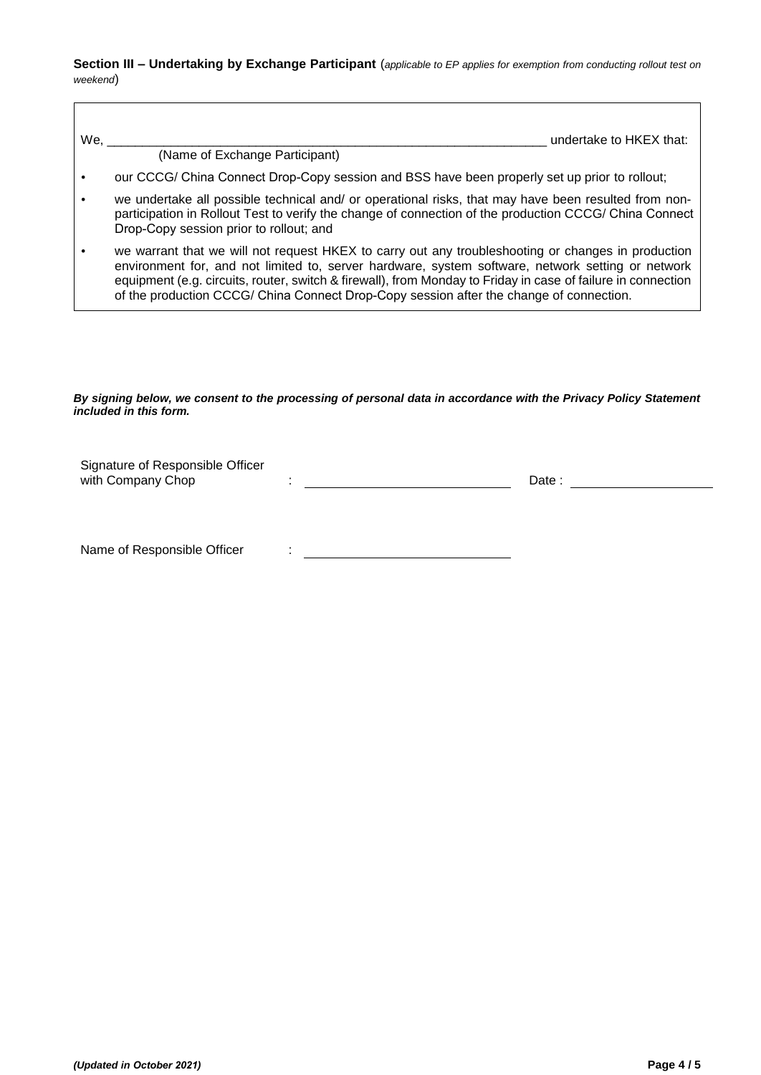**Section III – Undertaking by Exchange Participant** (*applicable to EP applies for exemption from conducting rollout test on weekend*)

| We. | undertake to HKEX that:                                                                                                                                                                                                                                                                                                                                                                                            |
|-----|--------------------------------------------------------------------------------------------------------------------------------------------------------------------------------------------------------------------------------------------------------------------------------------------------------------------------------------------------------------------------------------------------------------------|
|     | (Name of Exchange Participant)                                                                                                                                                                                                                                                                                                                                                                                     |
|     | our CCCG/ China Connect Drop-Copy session and BSS have been properly set up prior to rollout;                                                                                                                                                                                                                                                                                                                      |
|     | we undertake all possible technical and/ or operational risks, that may have been resulted from non-<br>participation in Rollout Test to verify the change of connection of the production CCCG/ China Connect<br>Drop-Copy session prior to rollout; and                                                                                                                                                          |
|     | we warrant that we will not request HKEX to carry out any troubleshooting or changes in production<br>environment for, and not limited to, server hardware, system software, network setting or network<br>equipment (e.g. circuits, router, switch & firewall), from Monday to Friday in case of failure in connection<br>of the production CCCG/ China Connect Drop-Copy session after the change of connection. |

## *By signing below, we consent to the processing of personal data in accordance with the Privacy Policy Statement included in this form.*

| Signature of Responsible Officer<br>with Company Chop | ٠ | Date: |  |  |
|-------------------------------------------------------|---|-------|--|--|
|                                                       |   |       |  |  |
| Name of Responsible Officer                           |   |       |  |  |

 $\overline{\Gamma}$ 

٦